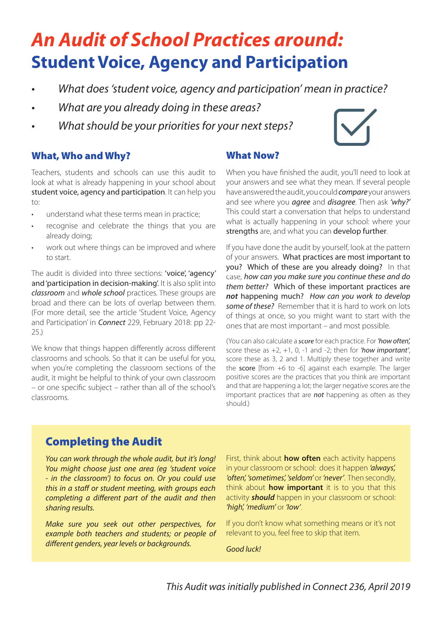# **An Audit of School Practices around: Student Voice, Agency and Participation**

- What does 'student voice, agency and participation' mean in practice?
- What are you already doing in these areas?
- What should be your priorities for your next steps?



#### What, Who and Why?

Teachers, students and schools can use this audit to look at what is already happening in your school about student voice, agency and participation. It can help you to:

- understand what these terms mean in practice;
- recognise and celebrate the things that you are already doing;
- work out where things can be improved and where to start.

The audit is divided into three sections: 'voice', 'agency' and 'participation in decision-making'. It is also split into classroom and whole school practices. These groups are broad and there can be lots of overlap between them. (For more detail, see the article 'Student Voice, Agency and Participation' in *Connect* 229, February 2018: pp 22-25.)

We know that things happen differently across different classrooms and schools. So that it can be useful for you, when you're completing the classroom sections of the audit, it might be helpful to think of your own classroom – or one specific subject – rather than all of the school's classrooms.

#### What Now?

When you have finished the audit, you'll need to look at your answers and see what they mean. If several people have answered the audit, you could *compare* your answers and see where you *agree* and *disagree*. Then ask 'why?' This could start a conversation that helps to understand what is actually happening in your school: where your strengths are, and what you can develop further.

If you have done the audit by yourself, look at the pattern of your answers. What practices are most important to you? Which of these are you already doing? In that case, how can you make sure you continue these and do them better? Which of these important practices are **not** happening much? How can you work to develop some of these? Remember that it is hard to work on lots of things at once, so you might want to start with the ones that are most important – and most possible.

(You can also calculate a score for each practice. For 'how often', score these as  $+2$ ,  $+1$ , 0,  $-1$  and  $-2$ ; then for 'how important', score these as 3, 2 and 1. Multiply these together and write the score [from +6 to -6] against each example. The larger positive scores are the practices that you think are important and that are happening a lot; the larger negative scores are the important practices that are **not** happening as often as they should.)

#### Completing the Audit

You can work through the whole audit, but it's long! You might choose just one area (eg 'student voice - in the classroom') to focus on. Or you could use this in a staff or student meeting, with groups each completing a different part of the audit and then sharing results.

Make sure you seek out other perspectives, for example both teachers and students; or people of different genders, year levels or backgrounds.

First, think about **how often** each activity happens in your classroom or school: does it happen 'always', 'often', 'sometimes', 'seldom' or 'never'. Then secondly, think about **how important** it is to you that this activity **should** happen in your classroom or school: 'high', 'medium' or 'low'.

If you don't know what something means or it's not relevant to you, feel free to skip that item.

Good luck!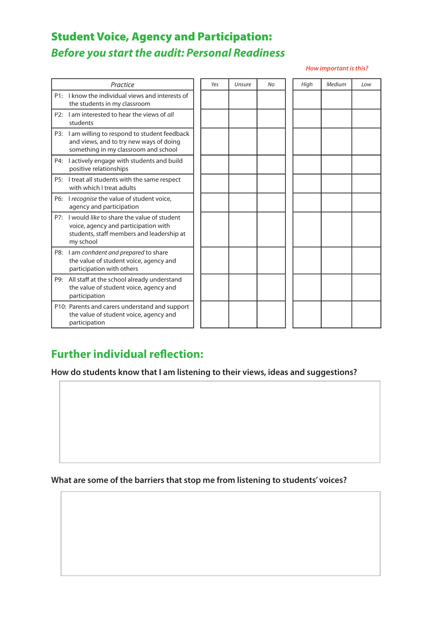## Student Voice, Agency and Participation: **Before you start the audit: Personal Readiness**

#### **How important is this?**

|     | Practice                                                                                                                                     | Yes | Unsure | No | High | Medium | Low |
|-----|----------------------------------------------------------------------------------------------------------------------------------------------|-----|--------|----|------|--------|-----|
|     | P1: I know the individual views and interests of<br>the students in my classroom                                                             |     |        |    |      |        |     |
| P2: | I am interested to hear the views of all<br>students                                                                                         |     |        |    |      |        |     |
| P3: | I am willing to respond to student feedback<br>and views, and to try new ways of doing<br>something in my classroom and school               |     |        |    |      |        |     |
| P4: | I actively engage with students and build<br>positive relationships                                                                          |     |        |    |      |        |     |
| P5: | I treat all students with the same respect<br>with which I treat adults                                                                      |     |        |    |      |        |     |
| P6: | I recognise the value of student voice,<br>agency and participation                                                                          |     |        |    |      |        |     |
| P7: | I would like to share the value of student<br>voice, agency and participation with<br>students, staff members and leadership at<br>my school |     |        |    |      |        |     |
| P8: | I am confident and prepared to share<br>the value of student voice, agency and<br>participation with others                                  |     |        |    |      |        |     |
| P9: | All staff at the school already understand<br>the value of student voice, agency and<br>participation                                        |     |        |    |      |        |     |
|     | P10: Parents and carers understand and support<br>the value of student voice, agency and<br>participation                                    |     |        |    |      |        |     |

#### **Further individual reflection:**

**How do students know that I am listening to their views, ideas and suggestions?** 

**What are some of the barriers that stop me from listening to students' voices?**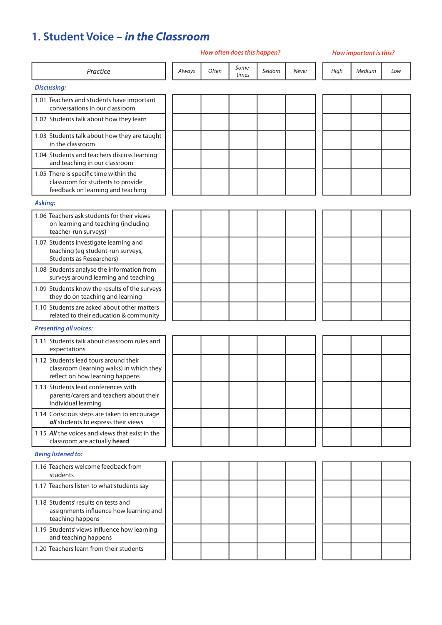### **1. Student Voice – in the Classroom**

|                                                                                                                      |        | How often does this happen? |                | How important is this? |       |      |        |     |
|----------------------------------------------------------------------------------------------------------------------|--------|-----------------------------|----------------|------------------------|-------|------|--------|-----|
| Practice                                                                                                             | Always | Often                       | Some-<br>times | Seldom                 | Never | High | Medium | Low |
| <b>Discussing:</b>                                                                                                   |        |                             |                |                        |       |      |        |     |
| 1.01 Teachers and students have important<br>conversations in our classroom                                          |        |                             |                |                        |       |      |        |     |
| 1.02 Students talk about how they learn                                                                              |        |                             |                |                        |       |      |        |     |
| 1.03 Students talk about how they are taught<br>in the classroom                                                     |        |                             |                |                        |       |      |        |     |
| 1.04 Students and teachers discuss learning<br>and teaching in our classroom                                         |        |                             |                |                        |       |      |        |     |
| 1.05 There is specific time within the<br>classroom for students to provide<br>feedback on learning and teaching     |        |                             |                |                        |       |      |        |     |
| Asking:                                                                                                              |        |                             |                |                        |       |      |        |     |
| 1.06 Teachers ask students for their views<br>on learning and teaching (including<br>teacher-run surveys)            |        |                             |                |                        |       |      |        |     |
| 1.07 Students investigate learning and<br>teaching (eg student-run surveys,<br><b>Students as Researchers)</b>       |        |                             |                |                        |       |      |        |     |
| 1.08 Students analyse the information from<br>surveys around learning and teaching                                   |        |                             |                |                        |       |      |        |     |
| 1.09 Students know the results of the surveys<br>they do on teaching and learning                                    |        |                             |                |                        |       |      |        |     |
| 1.10 Students are asked about other matters<br>related to their education & community                                |        |                             |                |                        |       |      |        |     |
| <b>Presenting all voices:</b>                                                                                        |        |                             |                |                        |       |      |        |     |
| 1.11 Students talk about classroom rules and<br>expectations                                                         |        |                             |                |                        |       |      |        |     |
| 1.12 Students lead tours around their<br>classroom (learning walks) in which they<br>reflect on how learning happens |        |                             |                |                        |       |      |        |     |
| 1.13 Students lead conferences with<br>parents/carers and teachers about their<br>individual learning                |        |                             |                |                        |       |      |        |     |
| 1.14 Conscious steps are taken to encourage<br>all students to express their views                                   |        |                             |                |                        |       |      |        |     |
| 1.15 All the voices and views that exist in the<br>classroom are actually heard                                      |        |                             |                |                        |       |      |        |     |
| <b>Being listened to:</b>                                                                                            |        |                             |                |                        |       |      |        |     |
| 1.16 Teachers welcome feedback from<br>students                                                                      |        |                             |                |                        |       |      |        |     |
| 1.17 Teachers listen to what students say                                                                            |        |                             |                |                        |       |      |        |     |
| 1.18 Students' results on tests and<br>assignments influence how learning and<br>teaching happens                    |        |                             |                |                        |       |      |        |     |
| 1.19 Students' views influence how learning<br>and teaching happens                                                  |        |                             |                |                        |       |      |        |     |
| 1.20 Teachers learn from their students                                                                              |        |                             |                |                        |       |      |        |     |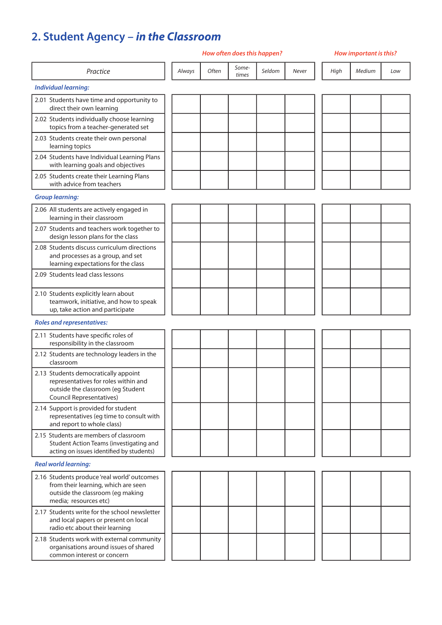## **2. Student Agency – in the Classroom**

|                                                                                                                                                      |        |       | How often does this happen? |        | <b>How important is this?</b> |      |        |     |
|------------------------------------------------------------------------------------------------------------------------------------------------------|--------|-------|-----------------------------|--------|-------------------------------|------|--------|-----|
| Practice                                                                                                                                             | Always | Often | Some-<br>times              | Seldom | Never                         | High | Medium | Low |
| <b>Individual learning:</b>                                                                                                                          |        |       |                             |        |                               |      |        |     |
| 2.01 Students have time and opportunity to<br>direct their own learning                                                                              |        |       |                             |        |                               |      |        |     |
| 2.02 Students individually choose learning<br>topics from a teacher-generated set                                                                    |        |       |                             |        |                               |      |        |     |
| 2.03 Students create their own personal<br>learning topics                                                                                           |        |       |                             |        |                               |      |        |     |
| 2.04 Students have Individual Learning Plans<br>with learning goals and objectives                                                                   |        |       |                             |        |                               |      |        |     |
| 2.05 Students create their Learning Plans<br>with advice from teachers                                                                               |        |       |                             |        |                               |      |        |     |
| <b>Group learning:</b>                                                                                                                               |        |       |                             |        |                               |      |        |     |
| 2.06 All students are actively engaged in<br>learning in their classroom                                                                             |        |       |                             |        |                               |      |        |     |
| 2.07 Students and teachers work together to<br>design lesson plans for the class                                                                     |        |       |                             |        |                               |      |        |     |
| 2.08 Students discuss curriculum directions<br>and processes as a group, and set<br>learning expectations for the class                              |        |       |                             |        |                               |      |        |     |
| 2.09 Students lead class lessons                                                                                                                     |        |       |                             |        |                               |      |        |     |
| 2.10 Students explicitly learn about<br>teamwork, initiative, and how to speak<br>up, take action and participate                                    |        |       |                             |        |                               |      |        |     |
| <b>Roles and representatives:</b>                                                                                                                    |        |       |                             |        |                               |      |        |     |
| 2.11 Students have specific roles of<br>responsibility in the classroom                                                                              |        |       |                             |        |                               |      |        |     |
| 2.12 Students are technology leaders in the<br>classroom                                                                                             |        |       |                             |        |                               |      |        |     |
| 2.13 Students democratically appoint<br>representatives for roles within and<br>outside the classroom (eg Student<br><b>Council Representatives)</b> |        |       |                             |        |                               |      |        |     |
| 2.14 Support is provided for student<br>representatives (eg time to consult with<br>and report to whole class)                                       |        |       |                             |        |                               |      |        |     |
| 2.15 Students are members of classroom<br>Student Action Teams (investigating and<br>acting on issues identified by students)                        |        |       |                             |        |                               |      |        |     |
| <b>Real world learning:</b>                                                                                                                          |        |       |                             |        |                               |      |        |     |
| 2.16 Students produce 'real world' outcomes<br>from their learning, which are seen<br>outside the classroom (eg making<br>media; resources etc)      |        |       |                             |        |                               |      |        |     |
| 2.17 Students write for the school newsletter<br>and local papers or present on local<br>radio etc about their learning                              |        |       |                             |        |                               |      |        |     |
| 2.18 Students work with external community<br>organisations around issues of shared<br>common interest or concern                                    |        |       |                             |        |                               |      |        |     |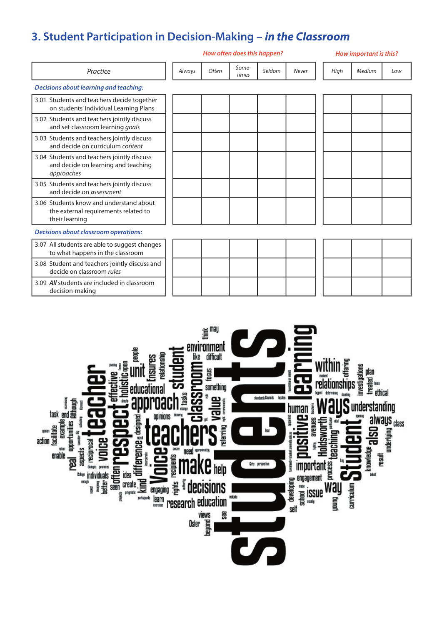## **3. Student Participation in Decision-Making – in the Classroom**

decision-making

|                                                                                                   |        |       | How often does this happen? |        | How important is this? |      |        |     |  |  |
|---------------------------------------------------------------------------------------------------|--------|-------|-----------------------------|--------|------------------------|------|--------|-----|--|--|
| Practice                                                                                          | Always | Often | Some-<br>times              | Seldom | Never                  | High | Medium | Low |  |  |
| <b>Decisions about learning and teaching:</b>                                                     |        |       |                             |        |                        |      |        |     |  |  |
| 3.01 Students and teachers decide together<br>on students' Individual Learning Plans              |        |       |                             |        |                        |      |        |     |  |  |
| 3.02 Students and teachers jointly discuss<br>and set classroom learning goals                    |        |       |                             |        |                        |      |        |     |  |  |
| 3.03 Students and teachers jointly discuss<br>and decide on curriculum content                    |        |       |                             |        |                        |      |        |     |  |  |
| 3.04 Students and teachers jointly discuss<br>and decide on learning and teaching<br>approaches   |        |       |                             |        |                        |      |        |     |  |  |
| 3.05 Students and teachers jointly discuss<br>and decide on <i>assessment</i>                     |        |       |                             |        |                        |      |        |     |  |  |
| 3.06 Students know and understand about<br>the external requirements related to<br>their learning |        |       |                             |        |                        |      |        |     |  |  |
| <b>Decisions about classroom operations:</b>                                                      |        |       |                             |        |                        |      |        |     |  |  |
| 3.07 All students are able to suggest changes<br>to what happens in the classroom                 |        |       |                             |        |                        |      |        |     |  |  |
| 3.08 Student and teachers jointly discuss and<br>decide on classroom rules                        |        |       |                             |        |                        |      |        |     |  |  |
| 3.09 All students are included in classroom                                                       |        |       |                             |        |                        |      |        |     |  |  |

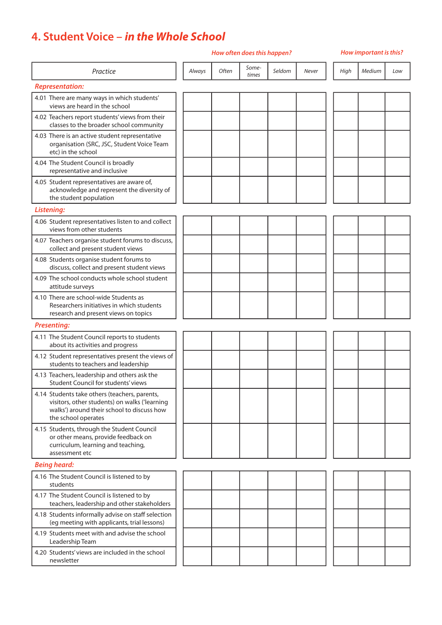## **4. Student Voice – in the Whole School**

#### **How often does this happen? How important is this?**

| Practice                                                                                                                                                            | Always | Often | Some-<br>times | Seldom | Never | High | Medium | Low |
|---------------------------------------------------------------------------------------------------------------------------------------------------------------------|--------|-------|----------------|--------|-------|------|--------|-----|
| <b>Representation:</b>                                                                                                                                              |        |       |                |        |       |      |        |     |
| 4.01 There are many ways in which students'<br>views are heard in the school                                                                                        |        |       |                |        |       |      |        |     |
| 4.02 Teachers report students' views from their<br>classes to the broader school community                                                                          |        |       |                |        |       |      |        |     |
| 4.03 There is an active student representative<br>organisation (SRC, JSC, Student Voice Team<br>etc) in the school                                                  |        |       |                |        |       |      |        |     |
| 4.04 The Student Council is broadly<br>representative and inclusive                                                                                                 |        |       |                |        |       |      |        |     |
| 4.05 Student representatives are aware of,<br>acknowledge and represent the diversity of<br>the student population                                                  |        |       |                |        |       |      |        |     |
| Listening:                                                                                                                                                          |        |       |                |        |       |      |        |     |
| 4.06 Student representatives listen to and collect<br>views from other students                                                                                     |        |       |                |        |       |      |        |     |
| 4.07 Teachers organise student forums to discuss,<br>collect and present student views                                                                              |        |       |                |        |       |      |        |     |
| 4.08 Students organise student forums to<br>discuss, collect and present student views                                                                              |        |       |                |        |       |      |        |     |
| 4.09 The school conducts whole school student<br>attitude surveys                                                                                                   |        |       |                |        |       |      |        |     |
| 4.10 There are school-wide Students as<br>Researchers initiatives in which students<br>research and present views on topics                                         |        |       |                |        |       |      |        |     |
| <b>Presenting:</b>                                                                                                                                                  |        |       |                |        |       |      |        |     |
| 4.11 The Student Council reports to students<br>about its activities and progress                                                                                   |        |       |                |        |       |      |        |     |
| 4.12 Student representatives present the views of<br>students to teachers and leadership                                                                            |        |       |                |        |       |      |        |     |
| 4.13 Teachers, leadership and others ask the<br>Student Council for students' views                                                                                 |        |       |                |        |       |      |        |     |
| 4.14 Students take others (teachers, parents,<br>visitors, other students) on walks ('learning<br>walks') around their school to discuss how<br>the school operates |        |       |                |        |       |      |        |     |
| 4.15 Students, through the Student Council<br>or other means, provide feedback on<br>curriculum, learning and teaching,<br>assessment etc                           |        |       |                |        |       |      |        |     |
| <b>Being heard:</b>                                                                                                                                                 |        |       |                |        |       |      |        |     |
| 4.16 The Student Council is listened to by<br>students                                                                                                              |        |       |                |        |       |      |        |     |
| 4.17 The Student Council is listened to by<br>teachers, leadership and other stakeholders                                                                           |        |       |                |        |       |      |        |     |
| 4.18 Students informally advise on staff selection<br>(eg meeting with applicants, trial lessons)                                                                   |        |       |                |        |       |      |        |     |
| 4.19 Students meet with and advise the school<br>Leadership Team                                                                                                    |        |       |                |        |       |      |        |     |
| 4.20 Students' views are included in the school<br>newsletter                                                                                                       |        |       |                |        |       |      |        |     |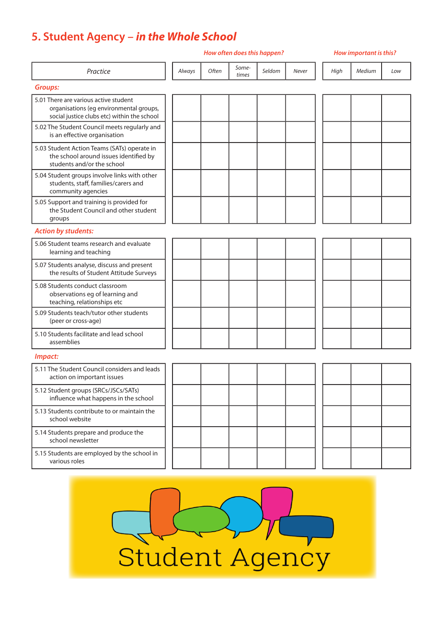## **5. Student Agency – in the Whole School**

|                                                                                                                                 | How often does this happen? |       |                |        |       |      | How important is this? |     |  |  |
|---------------------------------------------------------------------------------------------------------------------------------|-----------------------------|-------|----------------|--------|-------|------|------------------------|-----|--|--|
| Practice                                                                                                                        | Always                      | Often | Some-<br>times | Seldom | Never | High | Medium                 | Low |  |  |
| <b>Groups:</b>                                                                                                                  |                             |       |                |        |       |      |                        |     |  |  |
| 5.01 There are various active student<br>organisations (eg environmental groups,<br>social justice clubs etc) within the school |                             |       |                |        |       |      |                        |     |  |  |
| 5.02 The Student Council meets regularly and<br>is an effective organisation                                                    |                             |       |                |        |       |      |                        |     |  |  |
| 5.03 Student Action Teams (SATs) operate in<br>the school around issues identified by<br>students and/or the school             |                             |       |                |        |       |      |                        |     |  |  |
| 5.04 Student groups involve links with other<br>students, staff, families/carers and<br>community agencies                      |                             |       |                |        |       |      |                        |     |  |  |
| 5.05 Support and training is provided for<br>the Student Council and other student<br>groups                                    |                             |       |                |        |       |      |                        |     |  |  |
| <b>Action by students:</b>                                                                                                      |                             |       |                |        |       |      |                        |     |  |  |
| 5.06 Student teams research and evaluate<br>learning and teaching                                                               |                             |       |                |        |       |      |                        |     |  |  |
| 5.07 Students analyse, discuss and present<br>the results of Student Attitude Surveys                                           |                             |       |                |        |       |      |                        |     |  |  |
| 5.08 Students conduct classroom<br>observations eg of learning and<br>teaching, relationships etc                               |                             |       |                |        |       |      |                        |     |  |  |
| 5.09 Students teach/tutor other students<br>(peer or cross-age)                                                                 |                             |       |                |        |       |      |                        |     |  |  |
| 5.10 Students facilitate and lead school<br>assemblies                                                                          |                             |       |                |        |       |      |                        |     |  |  |
| Impact:                                                                                                                         |                             |       |                |        |       |      |                        |     |  |  |
| 5.11 The Student Council considers and leads<br>action on important issues                                                      |                             |       |                |        |       |      |                        |     |  |  |
| 5.12 Student groups (SRCs/JSCs/SATs)<br>influence what happens in the school                                                    |                             |       |                |        |       |      |                        |     |  |  |
| 5.13 Students contribute to or maintain the<br>school website                                                                   |                             |       |                |        |       |      |                        |     |  |  |
| 5.14 Students prepare and produce the<br>school newsletter                                                                      |                             |       |                |        |       |      |                        |     |  |  |
| 5.15 Students are employed by the school in<br>various roles                                                                    |                             |       |                |        |       |      |                        |     |  |  |